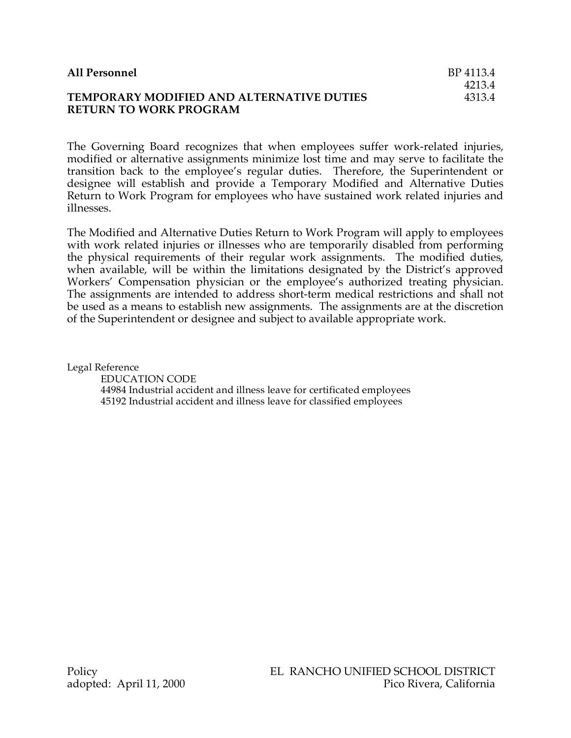| All Personnel                             | BP 4113.4 |
|-------------------------------------------|-----------|
|                                           | 4213.4    |
| TEMPORARY MODIFIED AND ALTERNATIVE DUTIES | 4313.4    |
| <b>RETURN TO WORK PROGRAM</b>             |           |

The Governing Board recognizes that when employees suffer work-related injuries, modified or alternative assignments minimize lost time and may serve to facilitate the transition back to the employee's regular duties. Therefore, the Superintendent or designee will establish and provide a Temporary Modified and Alternative Duties Return to Work Program for employees who have sustained work related injuries and illnesses.

The Modified and Alternative Duties Return to Work Program will apply to employees with work related injuries or illnesses who are temporarily disabled from performing the physical requirements of their regular work assignments. The modified duties, when available, will be within the limitations designated by the District's approved Workers' Compensation physician or the employee's authorized treating physician. The assignments are intended to address short-term medical restrictions and shall not be used as a means to establish new assignments. The assignments are at the discretion of the Superintendent or designee and subject to available appropriate work.

Legal Reference

EDUCATION CODE 44984 Industrial accident and illness leave for certificated employees 45192 Industrial accident and illness leave for classified employees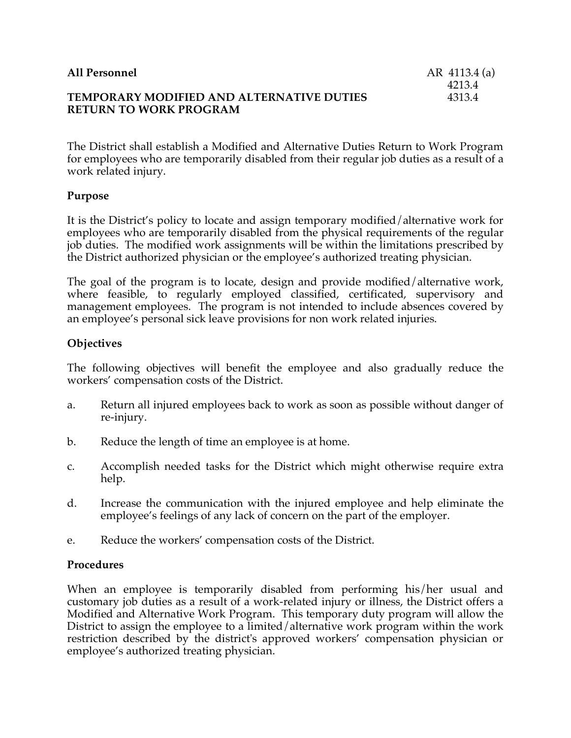| All Personnel                                    | AR 4113.4 (a) |
|--------------------------------------------------|---------------|
|                                                  | 4213.4        |
| <b>TEMPORARY MODIFIED AND ALTERNATIVE DUTIES</b> | 4313.4        |
| <b>RETURN TO WORK PROGRAM</b>                    |               |

The District shall establish a Modified and Alternative Duties Return to Work Program for employees who are temporarily disabled from their regular job duties as a result of a work related injury.

## **Purpose**

It is the District's policy to locate and assign temporary modified/alternative work for employees who are temporarily disabled from the physical requirements of the regular job duties. The modified work assignments will be within the limitations prescribed by the District authorized physician or the employee's authorized treating physician.

The goal of the program is to locate, design and provide modified/alternative work, where feasible, to regularly employed classified, certificated, supervisory and management employees. The program is not intended to include absences covered by an employee's personal sick leave provisions for non work related injuries.

# **Objectives**

The following objectives will benefit the employee and also gradually reduce the workers' compensation costs of the District.

- a. Return all injured employees back to work as soon as possible without danger of re-injury.
- b. Reduce the length of time an employee is at home.
- c. Accomplish needed tasks for the District which might otherwise require extra help.
- d. Increase the communication with the injured employee and help eliminate the employee's feelings of any lack of concern on the part of the employer.
- e. Reduce the workers' compensation costs of the District.

## **Procedures**

When an employee is temporarily disabled from performing his/her usual and customary job duties as a result of a work-related injury or illness, the District offers a Modified and Alternative Work Program. This temporary duty program will allow the District to assign the employee to a limited/alternative work program within the work restriction described by the district's approved workers' compensation physician or employee's authorized treating physician.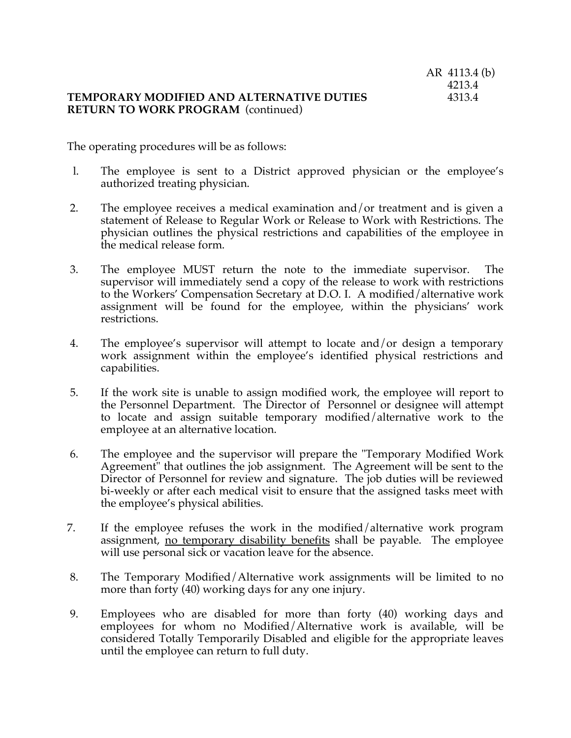#### **TEMPORARY MODIFIED AND ALTERNATIVE DUTIES** 4313.4 **RETURN TO WORK PROGRAM** (continued)

The operating procedures will be as follows:

- l. The employee is sent to a District approved physician or the employee's authorized treating physician.
- 2. The employee receives a medical examination and/or treatment and is given a statement of Release to Regular Work or Release to Work with Restrictions. The physician outlines the physical restrictions and capabilities of the employee in the medical release form.
- 3. The employee MUST return the note to the immediate supervisor. The supervisor will immediately send a copy of the release to work with restrictions to the Workers' Compensation Secretary at D.O. I. A modified/alternative work assignment will be found for the employee, within the physicians' work restrictions.
- 4. The employee's supervisor will attempt to locate and/or design a temporary work assignment within the employee's identified physical restrictions and capabilities.
- 5. If the work site is unable to assign modified work, the employee will report to the Personnel Department. The Director of Personnel or designee will attempt to locate and assign suitable temporary modified/alternative work to the employee at an alternative location.
- 6. The employee and the supervisor will prepare the "Temporary Modified Work Agreement" that outlines the job assignment. The Agreement will be sent to the Director of Personnel for review and signature. The job duties will be reviewed bi-weekly or after each medical visit to ensure that the assigned tasks meet with the employee's physical abilities.
- 7. If the employee refuses the work in the modified/alternative work program assignment, no temporary disability benefits shall be payable. The employee will use personal sick or vacation leave for the absence.
- 8. The Temporary Modified/Alternative work assignments will be limited to no more than forty (40) working days for any one injury.
- 9. Employees who are disabled for more than forty (40) working days and employees for whom no Modified/Alternative work is available, will be considered Totally Temporarily Disabled and eligible for the appropriate leaves until the employee can return to full duty.